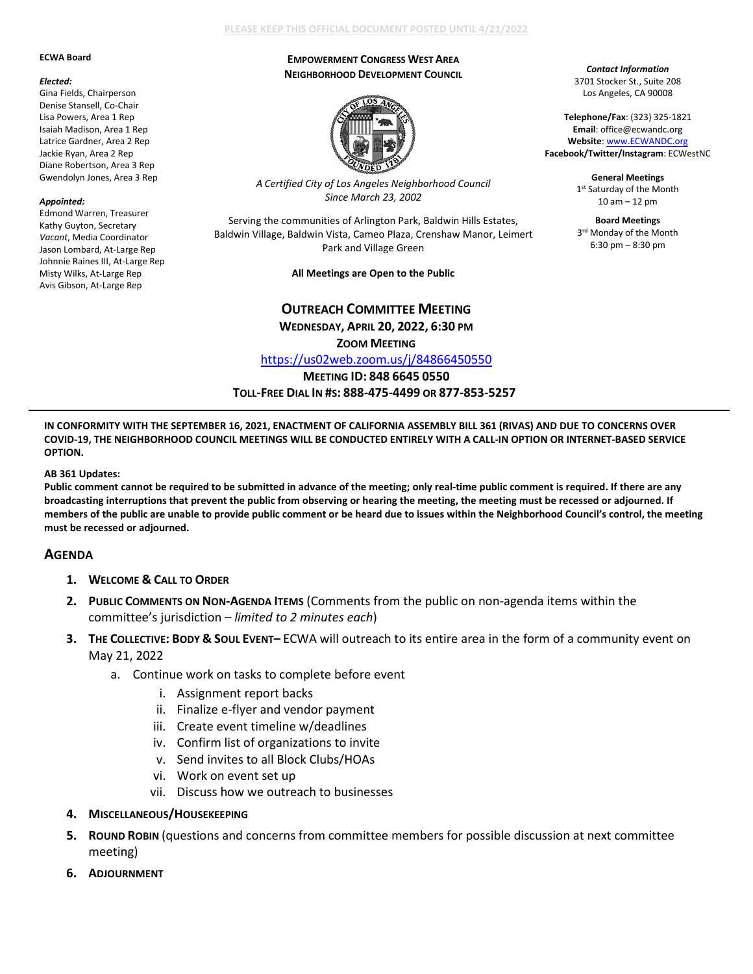#### **ECWA Board**

#### *Elected:*

Gina Fields, Chairperson Denise Stansell, Co-Chair Lisa Powers, Area 1 Rep Isaiah Madison, Area 1 Rep Latrice Gardner, Area 2 Rep Jackie Ryan, Area 2 Rep Diane Robertson, Area 3 Rep Gwendolyn Jones, Area 3 Rep

### *Appointed:*

Edmond Warren, Treasurer Kathy Guyton, Secretary *Vacant*, Media Coordinator Jason Lombard, At-Large Rep Johnnie Raines III, At-Large Rep Misty Wilks, At-Large Rep Avis Gibson, At-Large Rep

## **PLEASE KEEP THIS OFFICIAL DOCUMENT POSTED UNTIL 4/21/2022**

### **EMPOWERMENT CONGRESS WEST AREA NEIGHBORHOOD DEVELOPMENT COUNCIL**



*A Certified City of Los Angeles Neighborhood Council Since March 23, 2002*

Serving the communities of Arlington Park, Baldwin Hills Estates, Baldwin Village, Baldwin Vista, Cameo Plaza, Crenshaw Manor, Leimert Park and Village Green

**All Meetings are Open to the Public**

# **OUTREACH COMMITTEE MEETING WEDNESDAY, APRIL 20, 2022, 6:30 PM**

**ZOOM MEETING**

<https://us02web.zoom.us/j/84866450550>

**MEETING ID: 848 6645 0550**

**TOLL-FREE DIAL IN #S: 888-475-4499 OR 877-853-5257**

**IN CONFORMITY WITH THE SEPTEMBER 16, 2021, ENACTMENT OF CALIFORNIA ASSEMBLY BILL 361 (RIVAS) AND DUE TO CONCERNS OVER COVID-19, THE NEIGHBORHOOD COUNCIL MEETINGS WILL BE CONDUCTED ENTIRELY WITH A CALL-IN OPTION OR INTERNET-BASED SERVICE OPTION.**

### **AB 361 Updates:**

**Public comment cannot be required to be submitted in advance of the meeting; only real-time public comment is required. If there are any broadcasting interruptions that prevent the public from observing or hearing the meeting, the meeting must be recessed or adjourned. If members of the public are unable to provide public comment or be heard due to issues within the Neighborhood Council's control, the meeting must be recessed or adjourned.**

# **AGENDA**

- **1. WELCOME & CALL TO ORDER**
- **2. PUBLIC COMMENTS ON NON-AGENDA ITEMS** (Comments from the public on non-agenda items within the committee's jurisdiction *– limited to 2 minutes each*)
- **3. THE COLLECTIVE: BODY & SOUL EVENT–** ECWA will outreach to its entire area in the form of a community event on May 21, 2022
	- a. Continue work on tasks to complete before event
		- i. Assignment report backs
		- ii. Finalize e-flyer and vendor payment
		- iii. Create event timeline w/deadlines
		- iv. Confirm list of organizations to invite
		- v. Send invites to all Block Clubs/HOAs
		- vi. Work on event set up
		- vii. Discuss how we outreach to businesses
- **4. MISCELLANEOUS/HOUSEKEEPING**
- **5. ROUND ROBIN** (questions and concerns from committee members for possible discussion at next committee meeting)
- **6. ADJOURNMENT**

*Contact Information* 3701 Stocker St., Suite 208 Los Angeles, CA 90008

**Telephone/Fax**: (323) 325-1821 **Email**: office@ecwandc.org **Website**[: www.ECWANDC.org](http://www.ecwandc.org/) **Facebook/Twitter/Instagram**: ECWestNC

> **General Meetings** 1st Saturday of the Month 10 am – 12 pm

**Board Meetings** 3<sup>rd</sup> Monday of the Month 6:30 pm – 8:30 pm